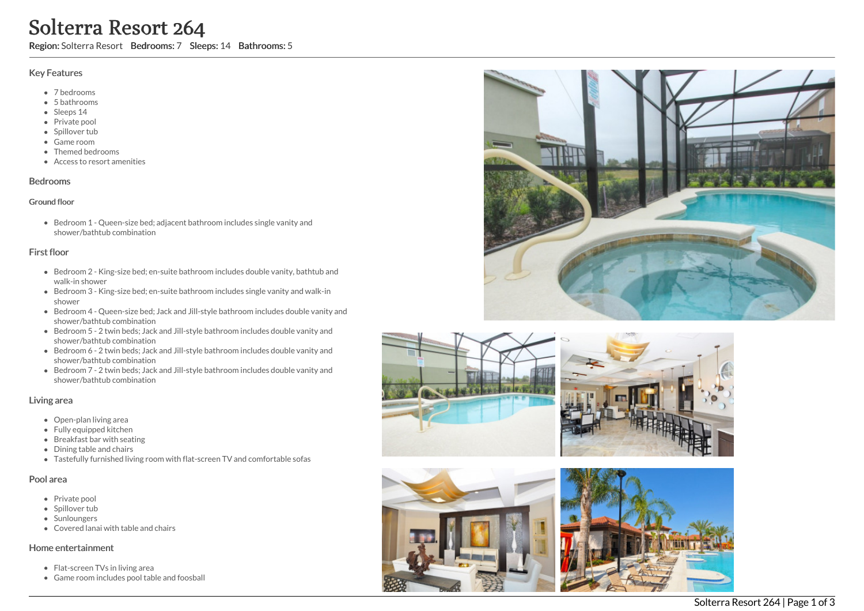# **Solterra Resort 264**<br>
Region: Solterra Resort Bedrooms: 7 Sleep<br>
Key Features<br>
• 7 bedrooms<br>
• Shatrooms<br>
• Shatrooms<br>
• Shatrooms<br>
• Game room<br>
• Tenned bedrooms<br>
• Access to resort amenities<br>
Bedrooms<br>
• Access to resor

ps: 14 Bathrooms: 5

### Key Features

- 7 b e d r o o m s
- 5 b a t h r o o m s
- Sleeps 14
- Private pool
- Spillover tub
- Game room
- Themed bedr o o m s
- Access to resort amenities

### **Bedrooms**

### Ground floor

Bedroom 1 - Queen-size bed; adjacent bathroom includes single vanity and shower/bathtub combination

# First floor

- Bedroom 2 King-size bed; en-suite bathroom includes double vanity, bathtub and walk-in shower
- Bedroom 3 King-size bed; en-suite bathroom includes single vanity and walk-in s h o w e r
- Bedroom 4 Queen-size bed; Jack and Jill-style bathroom includes double vanity and shower/bathtub combination
- Bedroom 5 2 twin beds; Jack and Jill-style bathroom includes double vanity and shower/bathtub combination
- Bedroom 6 2 twin beds; Jack and Jill-style bathroom includes double vanity and shower/bathtub combination
- Bedroom 7 2 twin beds; Jack and Jill-style bathroom includes double vanity and shower/bathtub combination

# Living area

- Open-plan living area
- Fully equipped kitchen
- Breakfast bar with seating
- Dining table and chairs
- Tastefully furnished living room with flat-screen TV and comfortable sofas

### Pool area

- Private pool
- Spillover tub
- Sunloungers
- Covered lanai with table and chairs

### Home entertainment

- Flat-screen TVs in living area
- Game room includes pool table and foosba







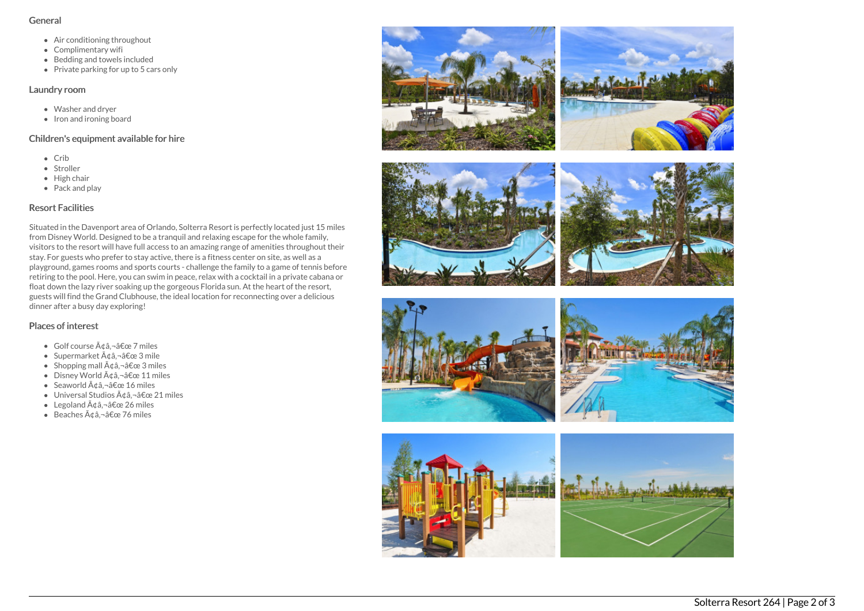### General

- Air conditioning throughout
- Complimentary wifi
- Bedding and towels included
- Private parking for up to 5 cars only

### Laundry room

- Washer and dryer
- $\bullet$  Iron and ironing board

# Children's equipment available for hire

- Crib
- Stroller
- $\bullet$  High chair
- Pack and play

# Resort Facilities

Situated in the Davenport area of Orlando, Solterra Resort is perfectly located just 15 miles from Disney World. Designed to be a tranquil and relaxing escape for the whole family, visitors to the resort will have full access to an amazing range of amenities throughout their stay. For guests who prefer to stay active, there is a fitness center on site, as well as a playground, games rooms and sports courts - challenge the family to a game of tennis before retiring to the pool. Here, you can swim in peace, relax with a cocktail in a private cabana or float down the lazy river soaking up the gorgeous Florida sun. At the heart of the resort, guests will find the Grand Clubhouse, the ideal location for reconnecting over a delicious dinner after a busy day exploring!

# Places of interest

- $\bullet$  Golf course  $\tilde{A}$ dâ.  $\neg$ â $\epsilon$ œ 7 miles
- Supermarket  $\tilde{A}$ ¢â,¬â€œ 3 mile
- Shopping mall  $\tilde{A} \notin \hat{a}$ ,  $\neg \hat{a} \notin \text{ce}$  3 miles
- $\bullet$  Disney World  $\tilde{A} \text{ and } \tilde{a} \in \mathbb{C}$  21 miles
- Seaworld  $\tilde{A}$ ¢â,¬â€œ 16 miles
- $\bullet$  Universal Studios  $\tilde{A} \triangleleft \hat{a}$ ,  $\neg \hat{a} \in \mathbb{C}$  21 miles
- Legoland  $\tilde{A} \notin \hat{a}$ ,  $\neg \hat{a} \notin \text{ce } 26$  miles
- $\bullet$  Beaches  $\tilde{A} \text{ and } \tilde{a} \in \mathbb{R}$  76 miles